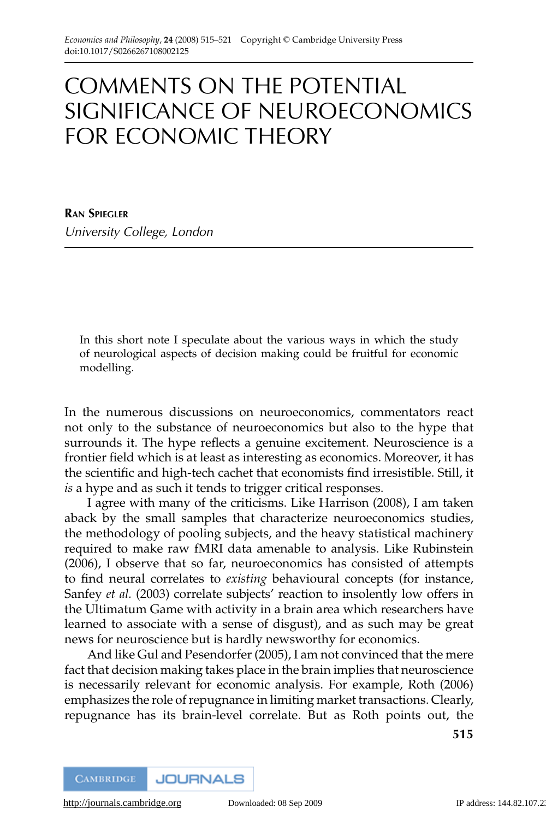# COMMENTS ON THE POTENTIAL SIGNIFICANCE OF NEUROECONOMICS FOR ECONOMIC THEORY

**RAN SPIEGLER** University College, London

In this short note I speculate about the various ways in which the study of neurological aspects of decision making could be fruitful for economic modelling.

In the numerous discussions on neuroeconomics, commentators react not only to the substance of neuroeconomics but also to the hype that surrounds it. The hype reflects a genuine excitement. Neuroscience is a frontier field which is at least as interesting as economics. Moreover, it has the scientific and high-tech cachet that economists find irresistible. Still, it *is* a hype and as such it tends to trigger critical responses.

I agree with many of the criticisms. Like Harrison (2008), I am taken aback by the small samples that characterize neuroeconomics studies, the methodology of pooling subjects, and the heavy statistical machinery required to make raw fMRI data amenable to analysis. Like Rubinstein (2006), I observe that so far, neuroeconomics has consisted of attempts to find neural correlates to *existing* behavioural concepts (for instance, Sanfey *et al.* (2003) correlate subjects' reaction to insolently low offers in the Ultimatum Game with activity in a brain area which researchers have learned to associate with a sense of disgust), and as such may be great news for neuroscience but is hardly newsworthy for economics.

And like Gul and Pesendorfer (2005), I am not convinced that the mere fact that decision making takes place in the brain implies that neuroscience is necessarily relevant for economic analysis. For example, Roth (2006) emphasizes the role of repugnance in limiting market transactions. Clearly, repugnance has its brain-level correlate. But as Roth points out, the

**515**

**JOURNALS CAMBRIDGE**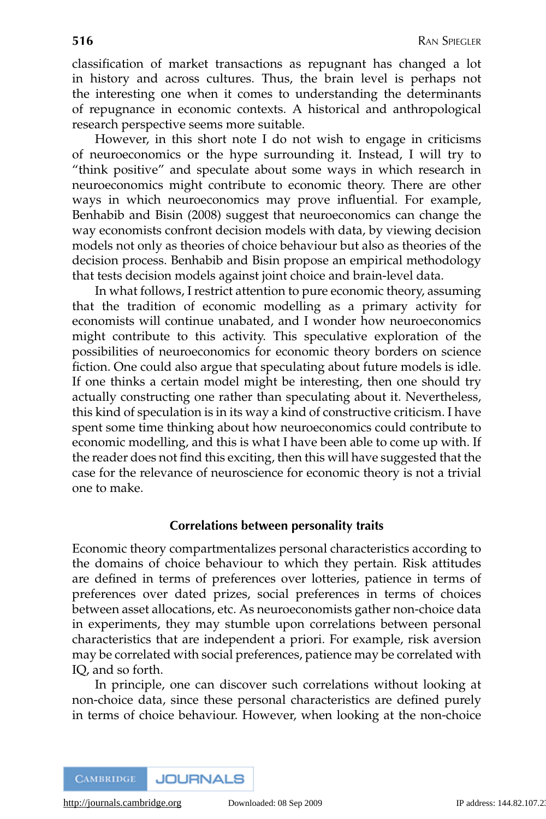classification of market transactions as repugnant has changed a lot in history and across cultures. Thus, the brain level is perhaps not the interesting one when it comes to understanding the determinants of repugnance in economic contexts. A historical and anthropological research perspective seems more suitable.

However, in this short note I do not wish to engage in criticisms of neuroeconomics or the hype surrounding it. Instead, I will try to "think positive" and speculate about some ways in which research in neuroeconomics might contribute to economic theory. There are other ways in which neuroeconomics may prove influential. For example, Benhabib and Bisin (2008) suggest that neuroeconomics can change the way economists confront decision models with data, by viewing decision models not only as theories of choice behaviour but also as theories of the decision process. Benhabib and Bisin propose an empirical methodology that tests decision models against joint choice and brain-level data.

In what follows, I restrict attention to pure economic theory, assuming that the tradition of economic modelling as a primary activity for economists will continue unabated, and I wonder how neuroeconomics might contribute to this activity. This speculative exploration of the possibilities of neuroeconomics for economic theory borders on science fiction. One could also argue that speculating about future models is idle. If one thinks a certain model might be interesting, then one should try actually constructing one rather than speculating about it. Nevertheless, this kind of speculation is in its way a kind of constructive criticism. I have spent some time thinking about how neuroeconomics could contribute to economic modelling, and this is what I have been able to come up with. If the reader does not find this exciting, then this will have suggested that the case for the relevance of neuroscience for economic theory is not a trivial one to make.

### **Correlations between personality traits**

Economic theory compartmentalizes personal characteristics according to the domains of choice behaviour to which they pertain. Risk attitudes are defined in terms of preferences over lotteries, patience in terms of preferences over dated prizes, social preferences in terms of choices between asset allocations, etc. As neuroeconomists gather non-choice data in experiments, they may stumble upon correlations between personal characteristics that are independent a priori. For example, risk aversion may be correlated with social preferences, patience may be correlated with IQ, and so forth.

In principle, one can discover such correlations without looking at non-choice data, since these personal characteristics are defined purely in terms of choice behaviour. However, when looking at the non-choice

**JOURNALS CAMBRIDGE**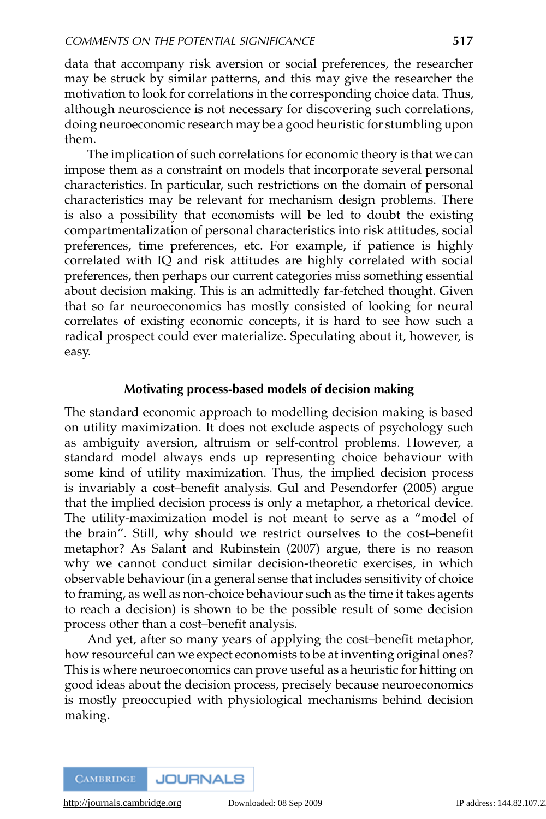data that accompany risk aversion or social preferences, the researcher may be struck by similar patterns, and this may give the researcher the motivation to look for correlations in the corresponding choice data. Thus, although neuroscience is not necessary for discovering such correlations, doing neuroeconomic research may be a good heuristic for stumbling upon them.

The implication of such correlations for economic theory is that we can impose them as a constraint on models that incorporate several personal characteristics. In particular, such restrictions on the domain of personal characteristics may be relevant for mechanism design problems. There is also a possibility that economists will be led to doubt the existing compartmentalization of personal characteristics into risk attitudes, social preferences, time preferences, etc. For example, if patience is highly correlated with IQ and risk attitudes are highly correlated with social preferences, then perhaps our current categories miss something essential about decision making. This is an admittedly far-fetched thought. Given that so far neuroeconomics has mostly consisted of looking for neural correlates of existing economic concepts, it is hard to see how such a radical prospect could ever materialize. Speculating about it, however, is easy.

### **Motivating process-based models of decision making**

The standard economic approach to modelling decision making is based on utility maximization. It does not exclude aspects of psychology such as ambiguity aversion, altruism or self-control problems. However, a standard model always ends up representing choice behaviour with some kind of utility maximization. Thus, the implied decision process is invariably a cost–benefit analysis. Gul and Pesendorfer (2005) argue that the implied decision process is only a metaphor, a rhetorical device. The utility-maximization model is not meant to serve as a "model of the brain". Still, why should we restrict ourselves to the cost–benefit metaphor? As Salant and Rubinstein (2007) argue, there is no reason why we cannot conduct similar decision-theoretic exercises, in which observable behaviour (in a general sense that includes sensitivity of choice to framing, as well as non-choice behaviour such as the time it takes agents to reach a decision) is shown to be the possible result of some decision process other than a cost–benefit analysis.

And yet, after so many years of applying the cost–benefit metaphor, how resourceful can we expect economists to be at inventing original ones? This is where neuroeconomics can prove useful as a heuristic for hitting on good ideas about the decision process, precisely because neuroeconomics is mostly preoccupied with physiological mechanisms behind decision making.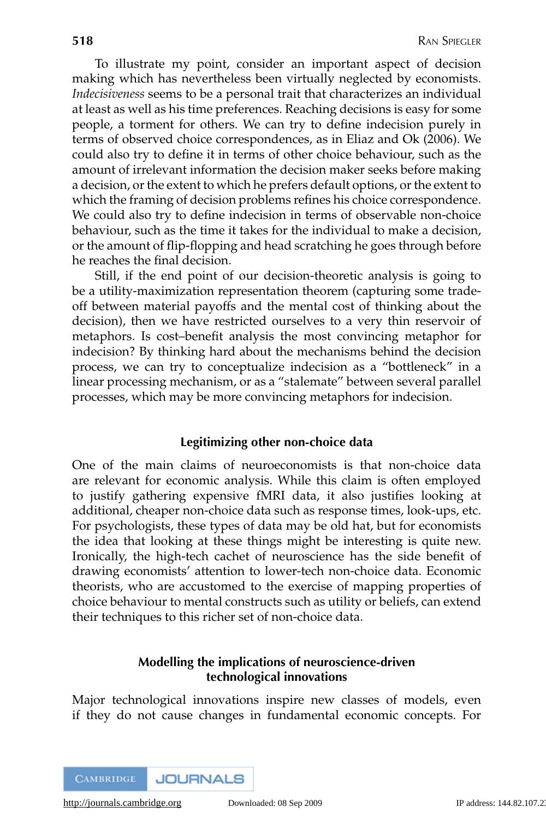To illustrate my point, consider an important aspect of decision making which has nevertheless been virtually neglected by economists. *Indecisiveness* seems to be a personal trait that characterizes an individual at least as well as his time preferences. Reaching decisions is easy for some people, a torment for others. We can try to define indecision purely in terms of observed choice correspondences, as in Eliaz and Ok (2006). We could also try to define it in terms of other choice behaviour, such as the amount of irrelevant information the decision maker seeks before making a decision, or the extent to which he prefers default options, or the extent to which the framing of decision problems refines his choice correspondence. We could also try to define indecision in terms of observable non-choice behaviour, such as the time it takes for the individual to make a decision, or the amount of flip-flopping and head scratching he goes through before he reaches the final decision.

Still, if the end point of our decision-theoretic analysis is going to be a utility-maximization representation theorem (capturing some tradeoff between material payoffs and the mental cost of thinking about the decision), then we have restricted ourselves to a very thin reservoir of metaphors. Is cost–benefit analysis the most convincing metaphor for indecision? By thinking hard about the mechanisms behind the decision process, we can try to conceptualize indecision as a "bottleneck" in a linear processing mechanism, or as a "stalemate" between several parallel processes, which may be more convincing metaphors for indecision.

### **Legitimizing other non-choice data**

One of the main claims of neuroeconomists is that non-choice data are relevant for economic analysis. While this claim is often employed to justify gathering expensive fMRI data, it also justifies looking at additional, cheaper non-choice data such as response times, look-ups, etc. For psychologists, these types of data may be old hat, but for economists the idea that looking at these things might be interesting is quite new. Ironically, the high-tech cachet of neuroscience has the side benefit of drawing economists' attention to lower-tech non-choice data. Economic theorists, who are accustomed to the exercise of mapping properties of choice behaviour to mental constructs such as utility or beliefs, can extend their techniques to this richer set of non-choice data.

## **Modelling the implications of neuroscience-driven technological innovations**

Major technological innovations inspire new classes of models, even if they do not cause changes in fundamental economic concepts. For

**JOURNALS CAMBRIDGE**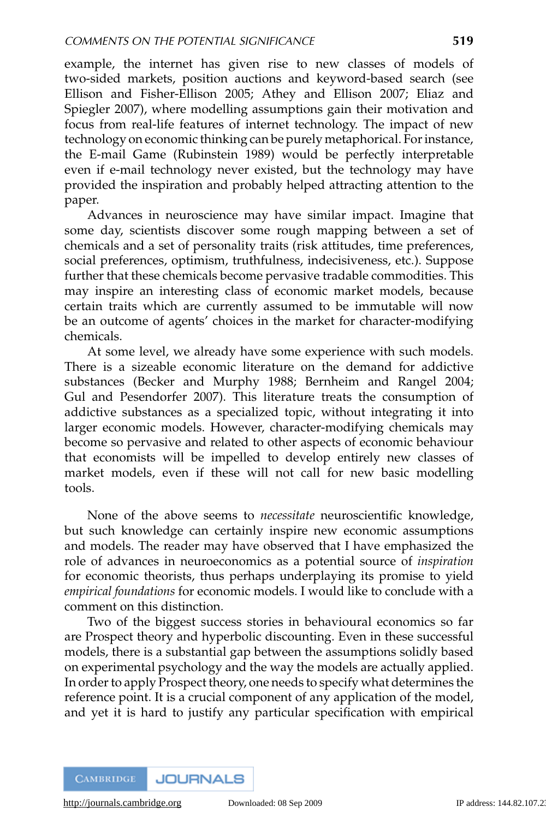example, the internet has given rise to new classes of models of two-sided markets, position auctions and keyword-based search (see Ellison and Fisher-Ellison 2005; Athey and Ellison 2007; Eliaz and Spiegler 2007), where modelling assumptions gain their motivation and focus from real-life features of internet technology. The impact of new technology on economic thinking can be purely metaphorical. For instance, the E-mail Game (Rubinstein 1989) would be perfectly interpretable even if e-mail technology never existed, but the technology may have provided the inspiration and probably helped attracting attention to the paper.

Advances in neuroscience may have similar impact. Imagine that some day, scientists discover some rough mapping between a set of chemicals and a set of personality traits (risk attitudes, time preferences, social preferences, optimism, truthfulness, indecisiveness, etc.). Suppose further that these chemicals become pervasive tradable commodities. This may inspire an interesting class of economic market models, because certain traits which are currently assumed to be immutable will now be an outcome of agents' choices in the market for character-modifying chemicals.

At some level, we already have some experience with such models. There is a sizeable economic literature on the demand for addictive substances (Becker and Murphy 1988; Bernheim and Rangel 2004; Gul and Pesendorfer 2007). This literature treats the consumption of addictive substances as a specialized topic, without integrating it into larger economic models. However, character-modifying chemicals may become so pervasive and related to other aspects of economic behaviour that economists will be impelled to develop entirely new classes of market models, even if these will not call for new basic modelling tools.

None of the above seems to *necessitate* neuroscientific knowledge, but such knowledge can certainly inspire new economic assumptions and models. The reader may have observed that I have emphasized the role of advances in neuroeconomics as a potential source of *inspiration* for economic theorists, thus perhaps underplaying its promise to yield *empirical foundations* for economic models. I would like to conclude with a comment on this distinction.

Two of the biggest success stories in behavioural economics so far are Prospect theory and hyperbolic discounting. Even in these successful models, there is a substantial gap between the assumptions solidly based on experimental psychology and the way the models are actually applied. In order to apply Prospect theory, one needs to specify what determines the reference point. It is a crucial component of any application of the model, and yet it is hard to justify any particular specification with empirical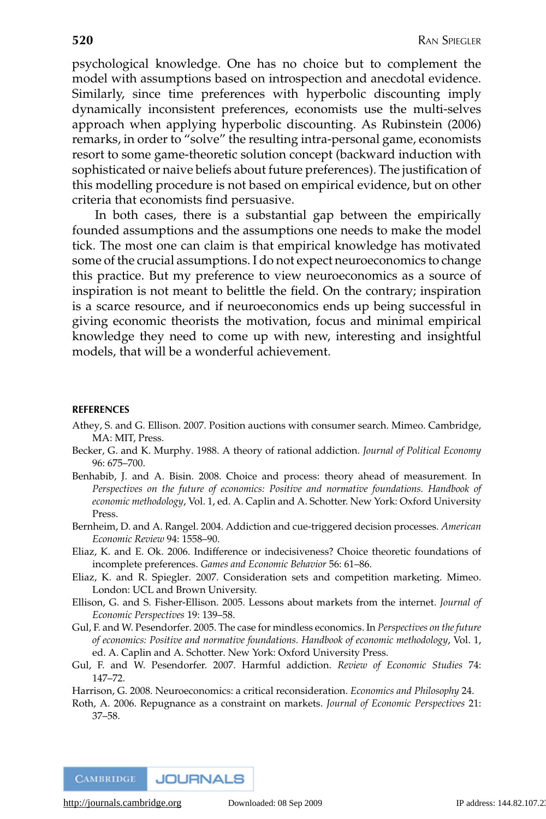psychological knowledge. One has no choice but to complement the model with assumptions based on introspection and anecdotal evidence. Similarly, since time preferences with hyperbolic discounting imply dynamically inconsistent preferences, economists use the multi-selves approach when applying hyperbolic discounting. As Rubinstein (2006) remarks, in order to "solve" the resulting intra-personal game, economists resort to some game-theoretic solution concept (backward induction with sophisticated or naive beliefs about future preferences). The justification of this modelling procedure is not based on empirical evidence, but on other criteria that economists find persuasive.

In both cases, there is a substantial gap between the empirically founded assumptions and the assumptions one needs to make the model tick. The most one can claim is that empirical knowledge has motivated some of the crucial assumptions. I do not expect neuroeconomics to change this practice. But my preference to view neuroeconomics as a source of inspiration is not meant to belittle the field. On the contrary; inspiration is a scarce resource, and if neuroeconomics ends up being successful in giving economic theorists the motivation, focus and minimal empirical knowledge they need to come up with new, interesting and insightful models, that will be a wonderful achievement.

#### **REFERENCES**

- Athey, S. and G. Ellison. 2007. Position auctions with consumer search. Mimeo. Cambridge, MA: MIT, Press.
- Becker, G. and K. Murphy. 1988. A theory of rational addiction. *Journal of Political Economy* 96: 675–700.
- Benhabib, J. and A. Bisin. 2008. Choice and process: theory ahead of measurement. In *Perspectives on the future of economics: Positive and normative foundations. Handbook of economic methodology*, Vol. 1, ed. A. Caplin and A. Schotter. New York: Oxford University Press.
- Bernheim, D. and A. Rangel. 2004. Addiction and cue-triggered decision processes. *American Economic Review* 94: 1558–90.
- Eliaz, K. and E. Ok. 2006. Indifference or indecisiveness? Choice theoretic foundations of incomplete preferences. *Games and Economic Behavior* 56: 61–86.
- Eliaz, K. and R. Spiegler. 2007. Consideration sets and competition marketing. Mimeo. London: UCL and Brown University.
- Ellison, G. and S. Fisher-Ellison. 2005. Lessons about markets from the internet. *Journal of Economic Perspectives* 19: 139–58.
- Gul, F. and W. Pesendorfer. 2005. The case for mindless economics. In *Perspectives on the future of economics: Positive and normative foundations. Handbook of economic methodology*, Vol. 1, ed. A. Caplin and A. Schotter. New York: Oxford University Press.
- Gul, F. and W. Pesendorfer. 2007. Harmful addiction. *Review of Economic Studies* 74: 147–72.
- Harrison, G. 2008. Neuroeconomics: a critical reconsideration. *Economics and Philosophy* 24.
- Roth, A. 2006. Repugnance as a constraint on markets. *Journal of Economic Perspectives* 21: 37–58.

**CAMBRIDGE JOURNALS**